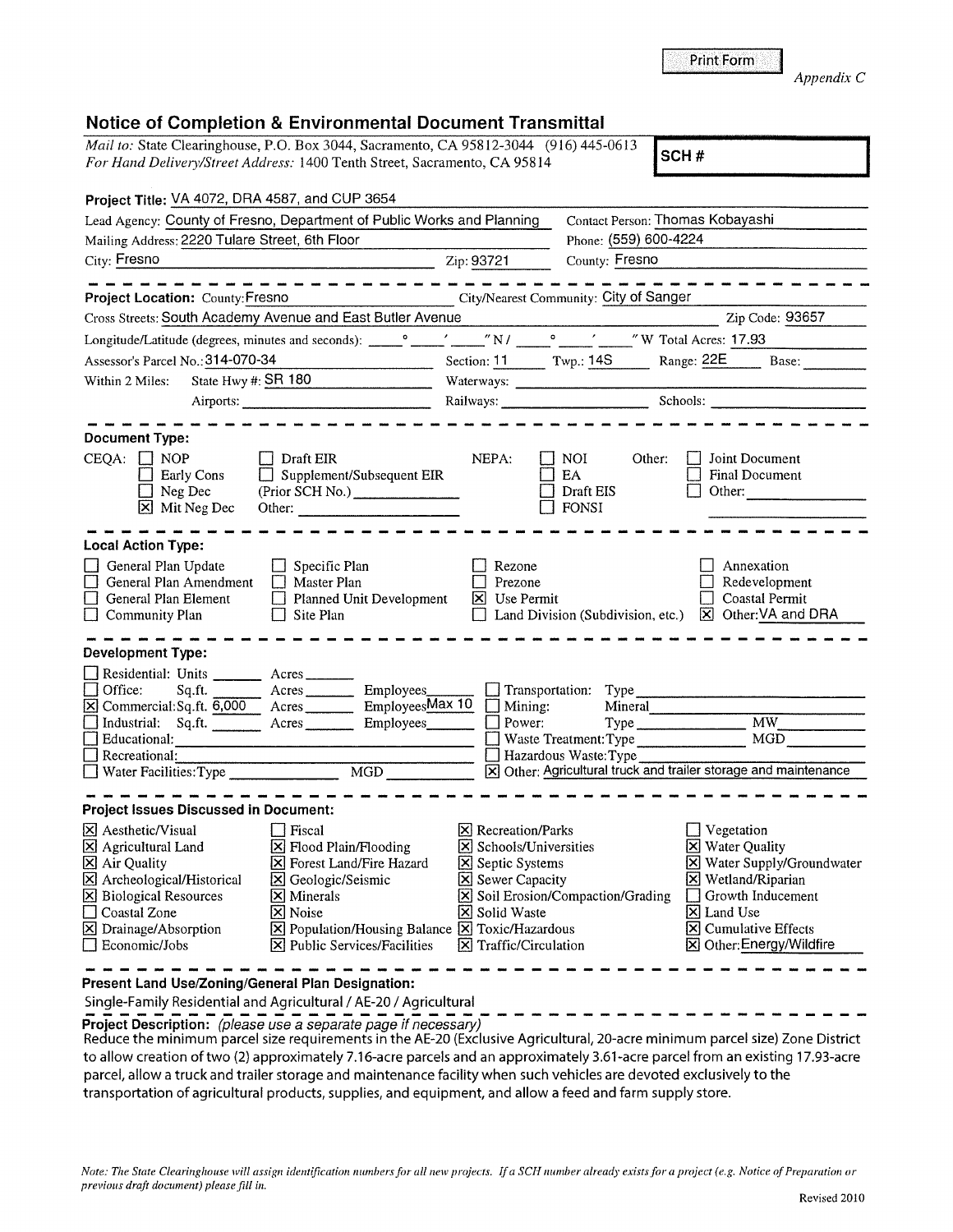| Coastal Zone<br>X Drainage/Absorption<br>$\Box$ Economic/Jobs                                                                                                                                                                                                                                                                                            | X  Noise<br>X Population/Housing Balance X Toxic/Hazardous<br>$ \mathsf{X} $ Public Services/Facilities | <b>X</b> Solid Waste<br>$ \mathsf{X} $ Traffic/Circulation | X  Land Use<br><b>X</b> Cumulative Effects<br>X Other: Energy/Wildfire                                                                                                                                                                                         |  |
|----------------------------------------------------------------------------------------------------------------------------------------------------------------------------------------------------------------------------------------------------------------------------------------------------------------------------------------------------------|---------------------------------------------------------------------------------------------------------|------------------------------------------------------------|----------------------------------------------------------------------------------------------------------------------------------------------------------------------------------------------------------------------------------------------------------------|--|
| Present Land Use/Zoning/General Plan Designation:<br>Project Description: (please use a separate page if necessary)<br>parcel, allow a truck and trailer storage and maintenance facility when such vehicles are devoted exclusively to the<br>transportation of agricultural products, supplies, and equipment, and allow a feed and farm supply store. | Single-Family Residential and Agricultural / AE-20 / Agricultural                                       |                                                            | Reduce the minimum parcel size requirements in the AE-20 (Exclusive Agricultural, 20-acre minimum parcel size) Zone District<br>to allow creation of two (2) approximately 7.16-acre parcels and an approximately 3.61-acre parcel from an existing 17.93-acre |  |
| previous draft document) please fill in.                                                                                                                                                                                                                                                                                                                 |                                                                                                         |                                                            | Note: The State Clearinghouse will assign identification numbers for all new projects. If a SCH number already exists for a project (e.g. Notice of Preparation or<br>Revised 2010                                                                             |  |

## **Notice of Completion & Environmental Document Transmittal**

| Mail to: State Clearinghouse, P.O. Box 3044, Sacramento, CA 95812-3044 (916) 445-0613<br>SCH#                                         |                                        |                                  |                                                                          |  |  |
|---------------------------------------------------------------------------------------------------------------------------------------|----------------------------------------|----------------------------------|--------------------------------------------------------------------------|--|--|
| For Hand Delivery/Street Address: 1400 Tenth Street, Sacramento, CA 95814                                                             |                                        |                                  |                                                                          |  |  |
| Project Title: VA 4072, DRA 4587, and CUP 3654                                                                                        |                                        |                                  |                                                                          |  |  |
| Lead Agency: County of Fresno, Department of Public Works and Planning                                                                |                                        | Contact Person: Thomas Kobayashi |                                                                          |  |  |
| Mailing Address: 2220 Tulare Street, 6th Floor                                                                                        |                                        | Phone: (559) 600-4224            |                                                                          |  |  |
| City: Fresno<br>.<br>In the second condition of the second condition of the condition of the second condition of the second condition | Zip: 93721                             | County: Fresno                   |                                                                          |  |  |
|                                                                                                                                       |                                        |                                  | ________________________________                                         |  |  |
| Project Location: County: Fresno                                                                                                      | City/Nearest Community: City of Sanger |                                  |                                                                          |  |  |
| Cross Streets: South Academy Avenue and East Butler Avenue                                                                            |                                        |                                  | Zip Code: 93657                                                          |  |  |
|                                                                                                                                       |                                        |                                  |                                                                          |  |  |
| Assessor's Parcel No.: 314-070-34                                                                                                     |                                        |                                  | Section: 11 Twp.: 14S Range: 22E Base:                                   |  |  |
| State Hwy #: SR 180<br>Within 2 Miles:                                                                                                |                                        |                                  |                                                                          |  |  |
|                                                                                                                                       |                                        |                                  | Railways: <u>Charles Barbooks</u> Schools: Charles Barbooks and Schools: |  |  |
|                                                                                                                                       |                                        |                                  |                                                                          |  |  |
| <b>Document Type:</b>                                                                                                                 |                                        |                                  |                                                                          |  |  |
| $CEQA: \Box NOP$<br>Draft EIR                                                                                                         | NEPA:                                  | NOI.<br>Other:                   | Joint Document                                                           |  |  |
| Supplement/Subsequent EIR<br>Early Cons                                                                                               |                                        | EA                               | Final Document                                                           |  |  |
| $\Box$ Neg Dec<br>(Prior SCH No.)<br>$X$ Mit Neg Dec                                                                                  |                                        | Draft EIS<br><b>FONSI</b>        | Other:                                                                   |  |  |
| Other:                                                                                                                                |                                        |                                  |                                                                          |  |  |
| <b>Local Action Type:</b>                                                                                                             |                                        |                                  |                                                                          |  |  |
| General Plan Update<br>$\Box$ Specific Plan                                                                                           | Rezone                                 |                                  | Annexation                                                               |  |  |
| General Plan Amendment<br>$\Box$ Master Plan                                                                                          | Prezone                                |                                  | Redevelopment                                                            |  |  |
| General Plan Element<br>Planned Unit Development<br>$\Box$                                                                            | X Use Permit                           |                                  | Coastal Permit                                                           |  |  |
| Community Plan<br>Site Plan                                                                                                           |                                        |                                  | Land Division (Subdivision, etc.) [X] Other: VA and DRA                  |  |  |
| <b>Development Type:</b>                                                                                                              |                                        |                                  |                                                                          |  |  |
| Residential: Units _________ Acres _______                                                                                            |                                        |                                  |                                                                          |  |  |
| Office:<br>Acres Employees<br>Sq.ft.                                                                                                  |                                        |                                  |                                                                          |  |  |
| $\boxed{\text{X}}$ Commercial: Sq. ft. $\frac{6,000}{2}$ Acres Employees Max 10 $\boxed{\ }$ Mining:                                  |                                        | Mineral                          |                                                                          |  |  |
| Industrial: Sq.ft. _______ Acres ________ Employees _______                                                                           | Power:                                 | Type                             | MW                                                                       |  |  |
|                                                                                                                                       |                                        | Waste Treatment: Type            |                                                                          |  |  |
| Recreational:                                                                                                                         |                                        | Hazardous Waste: Type            | X Other: Agricultural truck and trailer storage and maintenance          |  |  |
|                                                                                                                                       |                                        |                                  |                                                                          |  |  |
| <b>Project Issues Discussed in Document:</b>                                                                                          |                                        |                                  |                                                                          |  |  |
| $\boxtimes$ Aesthetic/Visual $\Box$ Fiscal                                                                                            | <b>X</b> Recreation/Parks              |                                  | $\Box$ Vegetation                                                        |  |  |
| $\boxtimes$ Agricultural Land<br>⊠ Flood Plain/Flooding                                                                               | X Schools/Universities                 |                                  | X Water Quality                                                          |  |  |
| <b>区</b> Air Quality<br>X Forest Land/Fire Hazard                                                                                     | Septic Systems                         |                                  | X Water Supply/Groundwater                                               |  |  |
| X Archeological/Historical<br>S Geologic/Seismic                                                                                      | Sewer Capacity                         |                                  | <b>X</b> Wetland/Riparian                                                |  |  |
| <b>X</b> Biological Resources<br>$\times$ Minerals<br>Coastal Zone<br>⊠ Noise                                                         | <b>X</b> Solid Waste                   | Soil Erosion/Compaction/Grading  | Growth Inducement<br>X Land Use                                          |  |  |
| X Population/Housing Balance X Toxic/Hazardous<br>X Drainage/Absorption                                                               |                                        |                                  | $\vert\mathbf{X}\vert$ Cumulative Effects                                |  |  |
| Economic/Jobs<br>$ \mathsf{X} $ Public Services/Facilities                                                                            | $ \mathsf{X} $ Traffic/Circulation     |                                  | X Other: Energy/Wildfire                                                 |  |  |
|                                                                                                                                       |                                        |                                  |                                                                          |  |  |

*Appendix* C

|  |  | <b>Print Form</b> |
|--|--|-------------------|
|  |  |                   |
|  |  |                   |
|  |  |                   |
|  |  |                   |